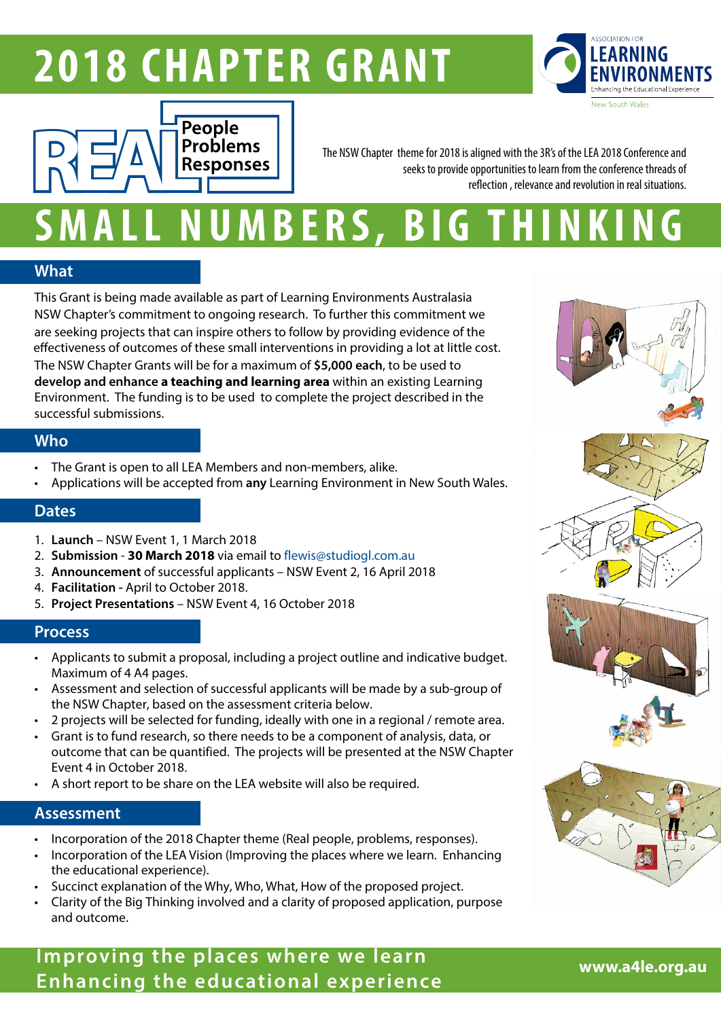## **2018 CHAPTER GRANT**



The NSW Chapter theme for 2018 is aligned with the 3R's of the LEA 2018 Conference and seeks to provide opportunities to learn from the conference threads of reflection , relevance and revolution in real situations.

# **REAL L NUMBERS, BIG THINKING**

## **What**

This Grant is being made available as part of Learning Environments Australasia NSW Chapter's commitment to ongoing research. To further this commitment we are seeking projects that can inspire others to follow by providing evidence of the effectiveness of outcomes of these small interventions in providing a lot at little cost. The NSW Chapter Grants will be for a maximum of **\$5,000 each**, to be used to **develop and enhance a teaching and learning area** within an existing Learning Environment. The funding is to be used to complete the project described in the successful submissions.

## **Who**

- The Grant is open to all LEA Members and non-members, alike.
- Applications will be accepted from **any** Learning Environment in New South Wales.

## **Dates**

- 1. **Launch** NSW Event 1, 1 March 2018
- 2. **Submission 30 March 2018** via email to flewis@studiogl.com.au
- 3. **Announcement** of successful applicants NSW Event 2, 16 April 2018
- 4. **Facilitation -** April to October 2018.
- 5. **Project Presentations** NSW Event 4, 16 October 2018

## **Process**

- Applicants to submit a proposal, including a project outline and indicative budget. Maximum of 4 A4 pages.
- Assessment and selection of successful applicants will be made by a sub-group of the NSW Chapter, based on the assessment criteria below.
- 2 projects will be selected for funding, ideally with one in a regional / remote area.
- Grant is to fund research, so there needs to be a component of analysis, data, or outcome that can be quantified. The projects will be presented at the NSW Chapter Event 4 in October 2018.
- A short report to be share on the LEA website will also be required.

## **Assessment**

- Incorporation of the 2018 Chapter theme (Real people, problems, responses).
- Incorporation of the LEA Vision (Improving the places where we learn. Enhancing the educational experience).
- Succinct explanation of the Why, Who, What, How of the proposed project.
- Clarity of the Big Thinking involved and a clarity of proposed application, purpose and outcome.